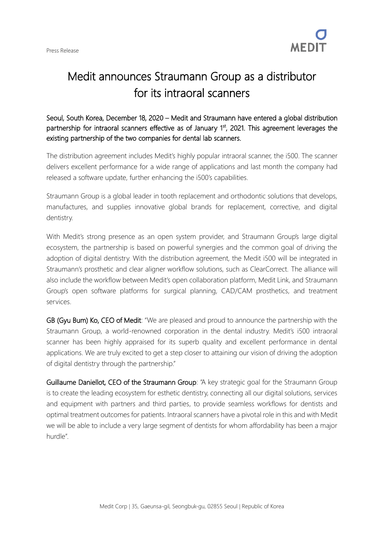

## Medit announces Straumann Group as a distributor for its intraoral scanners

Seoul, South Korea, December 18, 2020 – Medit and Straumann have entered a global distribution partnership for intraoral scanners effective as of January 1<sup>st</sup>, 2021. This agreement leverages the existing partnership of the two companies for dental lab scanners.

The distribution agreement includes Medit's highly popular intraoral scanner, the i500. The scanner delivers excellent performance for a wide range of applications and last month the company had released a software update, further enhancing the i500's capabilities.

Straumann Group is a global leader in tooth replacement and orthodontic solutions that develops, manufactures, and supplies innovative global brands for replacement, corrective, and digital dentistry.

With Medit's strong presence as an open system provider, and Straumann Group's large digital ecosystem, the partnership is based on powerful synergies and the common goal of driving the adoption of digital dentistry. With the distribution agreement, the Medit i500 will be integrated in Straumann's prosthetic and clear aligner workflow solutions, such as ClearCorrect. The alliance will also include the workflow between Medit's open collaboration platform, Medit Link, and Straumann Group's open software platforms for surgical planning, CAD/CAM prosthetics, and treatment services.

GB (Gyu Bum) Ko, CEO of Medit: "We are pleased and proud to announce the partnership with the Straumann Group, a world-renowned corporation in the dental industry. Medit's i500 intraoral scanner has been highly appraised for its superb quality and excellent performance in dental applications. We are truly excited to get a step closer to attaining our vision of driving the adoption of digital dentistry through the partnership."

Guillaume Daniellot, CEO of the Straumann Group: "A key strategic goal for the Straumann Group is to create the leading ecosystem for esthetic dentistry, connecting all our digital solutions, services and equipment with partners and third parties, to provide seamless workflows for dentists and optimal treatment outcomes for patients. Intraoral scanners have a pivotal role in this and with Medit we will be able to include a very large segment of dentists for whom affordability has been a major hurdle".